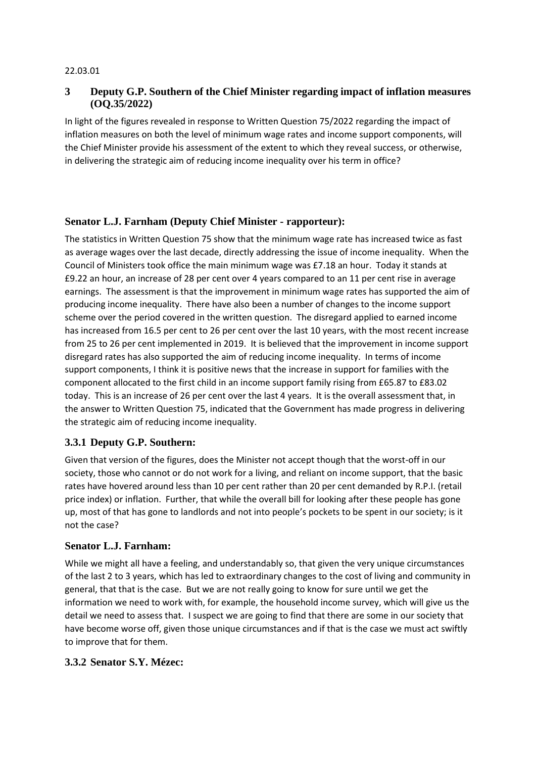#### 22.03.01

# **3 Deputy G.P. Southern of the Chief Minister regarding impact of inflation measures (OQ.35/2022)**

In light of the figures revealed in response to Written Question 75/2022 regarding the impact of inflation measures on both the level of minimum wage rates and income support components, will the Chief Minister provide his assessment of the extent to which they reveal success, or otherwise, in delivering the strategic aim of reducing income inequality over his term in office?

### **Senator L.J. Farnham (Deputy Chief Minister - rapporteur):**

The statistics in Written Question 75 show that the minimum wage rate has increased twice as fast as average wages over the last decade, directly addressing the issue of income inequality. When the Council of Ministers took office the main minimum wage was £7.18 an hour. Today it stands at £9.22 an hour, an increase of 28 per cent over 4 years compared to an 11 per cent rise in average earnings. The assessment is that the improvement in minimum wage rates has supported the aim of producing income inequality. There have also been a number of changes to the income support scheme over the period covered in the written question. The disregard applied to earned income has increased from 16.5 per cent to 26 per cent over the last 10 years, with the most recent increase from 25 to 26 per cent implemented in 2019. It is believed that the improvement in income support disregard rates has also supported the aim of reducing income inequality. In terms of income support components, I think it is positive news that the increase in support for families with the component allocated to the first child in an income support family rising from £65.87 to £83.02 today. This is an increase of 26 per cent over the last 4 years. It is the overall assessment that, in the answer to Written Question 75, indicated that the Government has made progress in delivering the strategic aim of reducing income inequality.

### **3.3.1 Deputy G.P. Southern:**

Given that version of the figures, does the Minister not accept though that the worst-off in our society, those who cannot or do not work for a living, and reliant on income support, that the basic rates have hovered around less than 10 per cent rather than 20 per cent demanded by R.P.I. (retail price index) or inflation. Further, that while the overall bill for looking after these people has gone up, most of that has gone to landlords and not into people's pockets to be spent in our society; is it not the case?

### **Senator L.J. Farnham:**

While we might all have a feeling, and understandably so, that given the very unique circumstances of the last 2 to 3 years, which has led to extraordinary changes to the cost of living and community in general, that that is the case. But we are not really going to know for sure until we get the information we need to work with, for example, the household income survey, which will give us the detail we need to assess that. I suspect we are going to find that there are some in our society that have become worse off, given those unique circumstances and if that is the case we must act swiftly to improve that for them.

#### **3.3.2 Senator S.Y. Mézec:**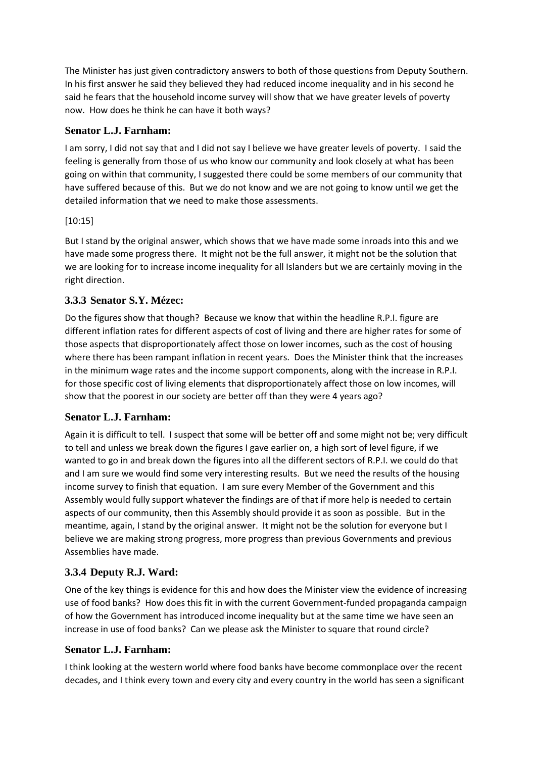The Minister has just given contradictory answers to both of those questions from Deputy Southern. In his first answer he said they believed they had reduced income inequality and in his second he said he fears that the household income survey will show that we have greater levels of poverty now. How does he think he can have it both ways?

# **Senator L.J. Farnham:**

I am sorry, I did not say that and I did not say I believe we have greater levels of poverty. I said the feeling is generally from those of us who know our community and look closely at what has been going on within that community, I suggested there could be some members of our community that have suffered because of this. But we do not know and we are not going to know until we get the detailed information that we need to make those assessments.

### [10:15]

But I stand by the original answer, which shows that we have made some inroads into this and we have made some progress there. It might not be the full answer, it might not be the solution that we are looking for to increase income inequality for all Islanders but we are certainly moving in the right direction.

# **3.3.3 Senator S.Y. Mézec:**

Do the figures show that though? Because we know that within the headline R.P.I. figure are different inflation rates for different aspects of cost of living and there are higher rates for some of those aspects that disproportionately affect those on lower incomes, such as the cost of housing where there has been rampant inflation in recent years. Does the Minister think that the increases in the minimum wage rates and the income support components, along with the increase in R.P.I. for those specific cost of living elements that disproportionately affect those on low incomes, will show that the poorest in our society are better off than they were 4 years ago?

### **Senator L.J. Farnham:**

Again it is difficult to tell. I suspect that some will be better off and some might not be; very difficult to tell and unless we break down the figures I gave earlier on, a high sort of level figure, if we wanted to go in and break down the figures into all the different sectors of R.P.I. we could do that and I am sure we would find some very interesting results. But we need the results of the housing income survey to finish that equation. I am sure every Member of the Government and this Assembly would fully support whatever the findings are of that if more help is needed to certain aspects of our community, then this Assembly should provide it as soon as possible. But in the meantime, again, I stand by the original answer. It might not be the solution for everyone but I believe we are making strong progress, more progress than previous Governments and previous Assemblies have made.

# **3.3.4 Deputy R.J. Ward:**

One of the key things is evidence for this and how does the Minister view the evidence of increasing use of food banks? How does this fit in with the current Government-funded propaganda campaign of how the Government has introduced income inequality but at the same time we have seen an increase in use of food banks? Can we please ask the Minister to square that round circle?

### **Senator L.J. Farnham:**

I think looking at the western world where food banks have become commonplace over the recent decades, and I think every town and every city and every country in the world has seen a significant